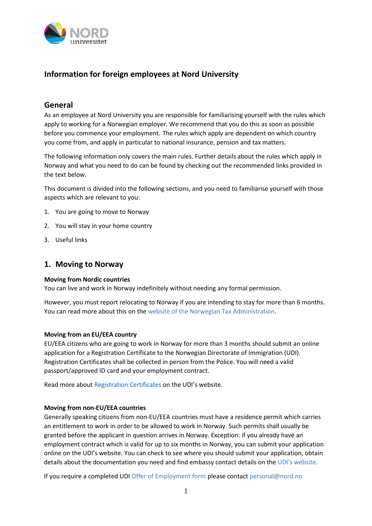

# **Information for foreign employees at Nord University**

## **General**

As an employee at Nord University you are responsible for familiarising yourself with the rules which apply to working for a Norwegian employer. We recommend that you do this as soon as possible before you commence your employment. The rules which apply are dependent on which country you come from, and apply in particular to national insurance, pension and tax matters.

The following information only covers the main rules. Further details about the rules which apply in Norway and what you need to do can be found by checking out the recommended links provided in the text below.

This document is divided into the following sections, and you need to familiarise yourself with those aspects which are relevant to you:

- 1. You are going to move to Norway
- 2. You will stay in your home country
- 3. Useful links

### **1. Moving to Norway**

### **Moving from Nordic countries**

You can live and work in Norway indefinitely without needing any formal permission.

However, you must report relocating to Norway if you are intending to stay for more than 6 months. You can read more about this on the website of the Norwegian Tax [Administration.](https://www.skatteetaten.no/en/person/foreign/you-must-notify-us-when-you-move/moving-to-norway/)

### **Moving from an EU/EEA country**

EU/EEA citizens who are going to work in Norway for more than 3 months should submit an online application for a Registration Certificate to the Norwegian Directorate of Immigration (UDI). Registration Certificates shall be collected in person from the Police. You will need a valid passport/approved ID card and your employment contract.

Read more about [Registration](https://www.udi.no/en/want-to-apply/residence-under-the-eueeu-regulations/employee-who-is-an-eueea-national/) Certificates on the UDI's website.

### **Moving from non-EU/EEA countries**

Generally speaking citizens from non-EU/EEA countries must have a residence permit which carries an entitlement to work in order to be allowed to work in Norway. Such permits shall usually be granted before the applicant in question arrives in Norway. Exception: if you already have an employment contract which is valid for up to six months in Norway, you can submit your application online on the UDI's website. You can check to see where you should submit your application, obtain details about the documentation you need and find embassy contact details on the UDI's [website.](https://www.udi.no/en/contact-us/find-the-correct-embassy-or-police-district/)

If you require a completed UDI Offer of [Employment](https://www.udi.no/globalassets/global/skjemaer/offer-of-employment-e.pdf) form please contact [personal@nord.no](mailto:personal@nord.no)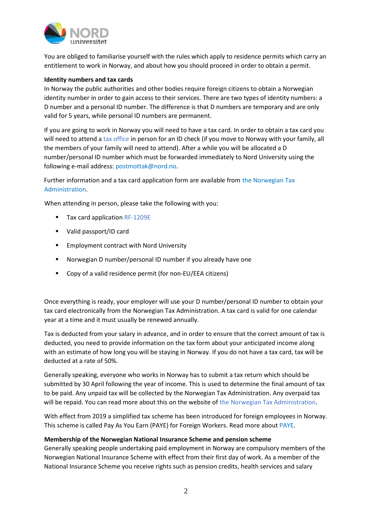

You are obliged to familiarise yourself with the rules which apply to residence permits which carry an entitlement to work in Norway, and about how you should proceed in order to obtain a permit.

#### **Identity numbers and tax cards**

In Norway the public authorities and other bodies require foreign citizens to obtain a Norwegian identity number in order to gain access to their services. There are two types of identity numbers: a D number and a personal ID number. The difference is that D numbers are temporary and are only valid for 5 years, while personal ID numbers are permanent.

If you are going to work in Norway you will need to have a tax card. In order to obtain a tax card you will need to attend a tax [office](https://www.skatteetaten.no/en/contact/offices/ID-control/) in person for an ID check (if you move to Norway with your family, all the members of your family will need to attend). After a while you will be allocated a D number/personal ID number which must be forwarded immediately to Nord University using the following e-mail address: [postmottak@nord.no.](mailto:postmottak@nord.no)

Further information and a tax card application form are available from the [Norwegian](https://www.skatteetaten.no/en/person/foreign/are-you-intending-to-work-in-norway/tax-deduction-cards/how-can-you-obtain-a-tax-deduction-card/) Tax [Administration.](https://www.skatteetaten.no/en/person/foreign/are-you-intending-to-work-in-norway/tax-deduction-cards/how-can-you-obtain-a-tax-deduction-card/)

When attending in person, please take the following with you:

- Tax card application [RF-1209E](https://www.skatteetaten.no/en/forms/tax-deduction-card-for-foreign-citizens/)
- Valid passport/ID card
- **Employment contract with Nord University**
- Norwegian D number/personal ID number if you already have one
- Copy of a valid residence permit (for non-EU/EEA citizens)

Once everything is ready, your employer will use your D number/personal ID number to obtain your tax card electronically from the Norwegian Tax Administration. A tax card is valid for one calendar year at a time and it must usually be renewed annually.

Tax is deducted from your salary in advance, and in order to ensure that the correct amount of tax is deducted, you need to provide information on the tax form about your anticipated income along with an estimate of how long you will be staying in Norway. If you do not have a tax card, tax will be deducted at a rate of 50%.

Generally speaking, everyone who works in Norway has to submit a tax return which should be submitted by 30 April following the year of income. This is used to determine the final amount of tax to be paid. Any unpaid tax will be collected by the Norwegian Tax Administration. Any overpaid tax will be repaid. You can read more about this on the website of the Norwegian Tax [Administration.](https://www.skatteetaten.no/en/person/foreign/are-you-intending-to-work-in-norway/the-tax-return/)

With effect from 2019 a simplified tax scheme has been introduced for foreign employees in Norway. This scheme is called Pay As You Earn (PAYE) for Foreign Workers. Read more about [PAYE.](https://www.skatteetaten.no/en/person/taxes/tax-deduction-card-and-advance-tax/i-am-a-foreign-employee/paye/)

### **Membership of the Norwegian National Insurance Scheme and pension scheme**

Generally speaking people undertaking paid employment in Norway are compulsory members of the Norwegian National Insurance Scheme with effect from their first day of work. As a member of the National Insurance Scheme you receive rights such as pension credits, health services and salary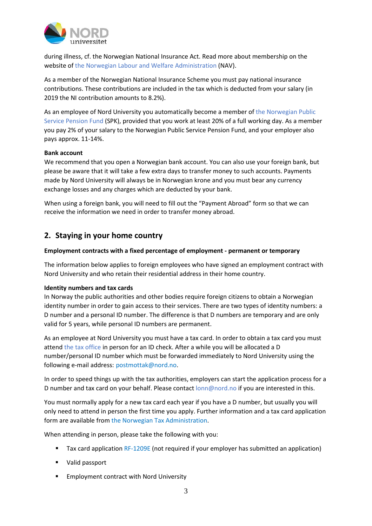

during illness, cf. the Norwegian National Insurance Act. Read more about membership on the website of the Norwegian Labour and Welfare [Administration](https://www.nav.no/en/Home) (NAV).

As a member of the Norwegian National Insurance Scheme you must pay national insurance contributions. These contributions are included in the tax which is deducted from your salary (in 2019 the NI contribution amounts to 8.2%).

As an employee of Nord University you automatically become a member of the [Norwegian](https://www.spk.no/en/) Public Service [Pension](https://www.spk.no/en/) Fund (SPK), provided that you work at least 20% of a full working day. As a member you pay 2% of your salary to the Norwegian Public Service Pension Fund, and your employer also pays approx. 11-14%.

### **Bank account**

We recommend that you open a Norwegian bank account. You can also use your foreign bank, but please be aware that it will take a few extra days to transfer money to such accounts. Payments made by Nord University will always be in Norwegian krone and you must bear any currency exchange losses and any charges which are deducted by your bank.

When using a foreign bank, you will need to fill out the "Payment Abroad" form so that we can receive the information we need in order to transfer money abroad.

# **2. Staying in your home country**

### **Employment contracts with a fixed percentage of employment - permanent or temporary**

The information below applies to foreign employees who have signed an employment contract with Nord University and who retain their residential address in their home country.

### **Identity numbers and tax cards**

In Norway the public authorities and other bodies require foreign citizens to obtain a Norwegian identity number in order to gain access to their services. There are two types of identity numbers: a D number and a personal ID number. The difference is that D numbers are temporary and are only valid for 5 years, while personal ID numbers are permanent.

As an employee at Nord University you must have a tax card. In order to obtain a tax card you must attend the tax [office](https://www.skatteetaten.no/en/contact/offices/ID-control/) in person for an ID check. After a while you will be allocated a D number/personal ID number which must be forwarded immediately to Nord University using the following e-mail address: [postmottak@nord.no.](mailto:postmottak@nord.no)

In order to speed things up with the tax authorities, employers can start the application process for a D number and tax card on your behalf. Please contact [lonn@nord.no](mailto:lonn@nord.no) if you are interested in this.

You must normally apply for a new tax card each year if you have a D number, but usually you will only need to attend in person the first time you apply. Further information and a tax card application form are available from the Norwegian Tax [Administration.](https://www.skatteetaten.no/en/person/foreign/are-you-intending-to-work-in-norway/tax-deduction-cards/how-can-you-obtain-a-tax-deduction-card/)

When attending in person, please take the following with you:

- Tax card application [RF-1209E](https://www.skatteetaten.no/en/forms/tax-deduction-card-for-foreign-citizens/) (not required if your employer has submitted an application)
- **UPILIA** Valid passport
- **Employment contract with Nord University**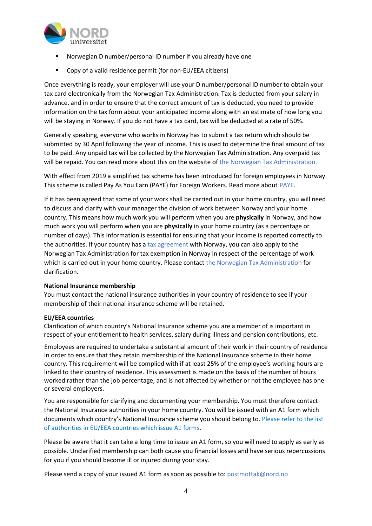

- Norwegian D number/personal ID number if you already have one
- Copy of a valid residence permit (for non-EU/EEA citizens)

Once everything is ready, your employer will use your D number/personal ID number to obtain your tax card electronically from the Norwegian Tax Administration. Tax is deducted from your salary in advance, and in order to ensure that the correct amount of tax is deducted, you need to provide information on the tax form about your anticipated income along with an estimate of how long you will be staying in Norway. If you do not have a tax card, tax will be deducted at a rate of 50%.

Generally speaking, everyone who works in Norway has to submit a tax return which should be submitted by 30 April following the year of income. This is used to determine the final amount of tax to be paid. Any unpaid tax will be collected by the Norwegian Tax Administration. Any overpaid tax will be repaid. You can read more about this on the website of the Norwegian Tax [Administration.](https://www.skatteetaten.no/en/person/foreign/are-you-intending-to-work-in-norway/the-tax-return/)

With effect from 2019 a simplified tax scheme has been introduced for foreign employees in Norway. This scheme is called Pay As You Earn (PAYE) for Foreign Workers. Read more about [PAYE.](https://www.skatteetaten.no/en/person/taxes/tax-deduction-card-and-advance-tax/i-am-a-foreign-employee/paye/)

If it has been agreed that some of your work shall be carried out in your home country, you will need to discuss and clarify with your manager the division of work between Norway and your home country. This means how much work you will perform when you are **physically** in Norway, and how much work you will perform when you are **physically** in your home country (as a percentage or number of days). This information is essential for ensuring that your income is reported correctly to the authorities. If your country has a tax [agreement](https://www.regjeringen.no/en/topics/the-economy/taxes-and-duties/tax-treaties-between-norway-and-other-st/id417330/) with Norway, you can also apply to the Norwegian Tax Administration for tax exemption in Norway in respect of the percentage of work which is carried out in your home country. Please contact the Norwegian Tax [Administration](https://www.skatteetaten.no/en/contact/) for clarification.

### **National Insurance membership**

You must contact the national insurance authorities in your country of residence to see if your membership of their national insurance scheme will be retained.

### **EU/EEA countries**

Clarification of which country's National Insurance scheme you are a member of is important in respect of your entitlement to health services, salary during illness and pension contributions, etc.

Employees are required to undertake a substantial amount of their work in their country of residence in order to ensure that they retain membership of the National Insurance scheme in their home country. This requirement will be complied with if at least 25% of the employee's working hours are linked to their country of residence. This assessment is made on the basis of the number of hours worked rather than the job percentage, and is not affected by whether or not the employee has one or several employers.

You are responsible for clarifying and documenting your membership. You must therefore contact the National Insurance authorities in your home country. You will be issued with an A1 form which documents which country's National Insurance scheme you should belong to. [Please](https://europa.eu/youreurope/citizens/work/social-security-forms/contact_points_pd_a1.pdf) refer to the list of [authorities](https://europa.eu/youreurope/citizens/work/social-security-forms/contact_points_pd_a1.pdf) in EU/EEA countries which issue A1 forms.

Please be aware that it can take a long time to issue an A1 form, so you will need to apply as early as possible. Unclarified membership can both cause you financial losses and have serious repercussions for you if you should become ill or injured during your stay.

Please send a copy of your issued A1 form as soon as possible to: [postmottak@nord.no](mailto:postmottak@nord.no)